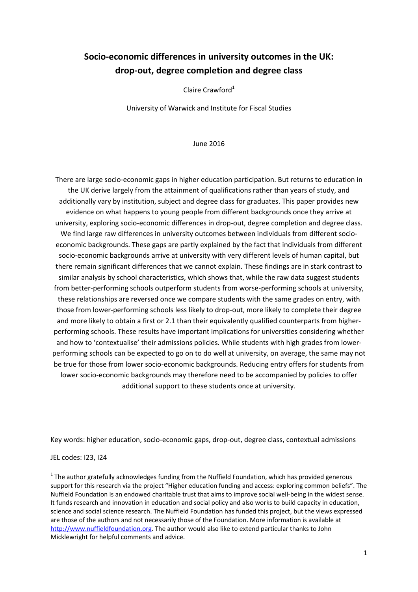# **Socio-economic differences in university outcomes in the UK: drop-out, degree completion and degree class**

Claire Crawford<sup>1</sup>

University of Warwick and Institute for Fiscal Studies

June 2016

There are large socio-economic gaps in higher education participation. But returns to education in the UK derive largely from the attainment of qualifications rather than years of study, and additionally vary by institution, subject and degree class for graduates. This paper provides new evidence on what happens to young people from different backgrounds once they arrive at university, exploring socio-economic differences in drop-out, degree completion and degree class. We find large raw differences in university outcomes between individuals from different socioeconomic backgrounds. These gaps are partly explained by the fact that individuals from different socio-economic backgrounds arrive at university with very different levels of human capital, but there remain significant differences that we cannot explain. These findings are in stark contrast to similar analysis by school characteristics, which shows that, while the raw data suggest students from better-performing schools outperform students from worse-performing schools at university, these relationships are reversed once we compare students with the same grades on entry, with those from lower-performing schools less likely to drop-out, more likely to complete their degree and more likely to obtain a first or 2.1 than their equivalently qualified counterparts from higherperforming schools. These results have important implications for universities considering whether and how to 'contextualise' their admissions policies. While students with high grades from lowerperforming schools can be expected to go on to do well at university, on average, the same may not be true for those from lower socio-economic backgrounds. Reducing entry offers for students from lower socio-economic backgrounds may therefore need to be accompanied by policies to offer additional support to these students once at university.

Key words: higher education, socio-economic gaps, drop-out, degree class, contextual admissions

JEL codes: I23, I24

**.** 

 $1$  The author gratefully acknowledges funding from the Nuffield Foundation, which has provided generous support for this research via the project "Higher education funding and access: exploring common beliefs". The Nuffield Foundation is an endowed charitable trust that aims to improve social well-being in the widest sense. It funds research and innovation in education and social policy and also works to build capacity in education, science and social science research. The Nuffield Foundation has funded this project, but the views expressed are those of the authors and not necessarily those of the Foundation. More information is available at [http://www.nuffieldfoundation.org.](http://www.nuffieldfoundation.org/) The author would also like to extend particular thanks to John Micklewright for helpful comments and advice.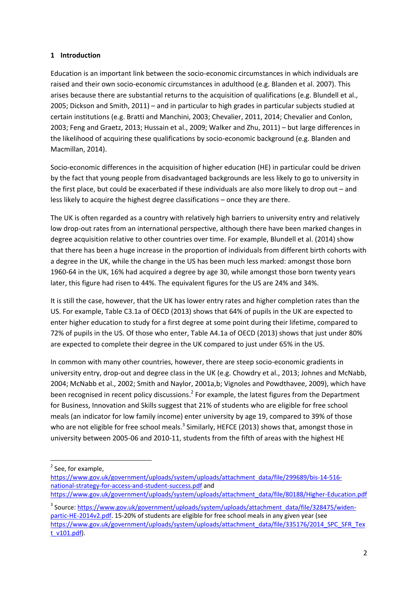### **1 Introduction**

Education is an important link between the socio-economic circumstances in which individuals are raised and their own socio-economic circumstances in adulthood (e.g. Blanden et al. 2007). This arises because there are substantial returns to the acquisition of qualifications (e.g. Blundell et al., 2005; Dickson and Smith, 2011) – and in particular to high grades in particular subjects studied at certain institutions (e.g. Bratti and Manchini, 2003; Chevalier, 2011, 2014; Chevalier and Conlon, 2003; Feng and Graetz, 2013; Hussain et al., 2009; Walker and Zhu, 2011) – but large differences in the likelihood of acquiring these qualifications by socio-economic background (e.g. Blanden and Macmillan, 2014).

Socio-economic differences in the acquisition of higher education (HE) in particular could be driven by the fact that young people from disadvantaged backgrounds are less likely to go to university in the first place, but could be exacerbated if these individuals are also more likely to drop out – and less likely to acquire the highest degree classifications – once they are there.

The UK is often regarded as a country with relatively high barriers to university entry and relatively low drop-out rates from an international perspective, although there have been marked changes in degree acquisition relative to other countries over time. For example, Blundell et al. (2014) show that there has been a huge increase in the proportion of individuals from different birth cohorts with a degree in the UK, while the change in the US has been much less marked: amongst those born 1960-64 in the UK, 16% had acquired a degree by age 30, while amongst those born twenty years later, this figure had risen to 44%. The equivalent figures for the US are 24% and 34%.

It is still the case, however, that the UK has lower entry rates and higher completion rates than the US. For example, Table C3.1a of OECD (2013) shows that 64% of pupils in the UK are expected to enter higher education to study for a first degree at some point during their lifetime, compared to 72% of pupils in the US. Of those who enter, Table A4.1a of OECD (2013) shows that just under 80% are expected to complete their degree in the UK compared to just under 65% in the US.

In common with many other countries, however, there are steep socio-economic gradients in university entry, drop-out and degree class in the UK (e.g. Chowdry et al., 2013; Johnes and McNabb, 2004; McNabb et al., 2002; Smith and Naylor, 2001a,b; Vignoles and Powdthavee, 2009), which have been recognised in recent policy discussions.<sup>2</sup> For example, the latest figures from the Department for Business, Innovation and Skills suggest that 21% of students who are eligible for free school meals (an indicator for low family income) enter university by age 19, compared to 39% of those who are not eligible for free school meals.<sup>3</sup> Similarly, HEFCE (2013) shows that, amongst those in university between 2005-06 and 2010-11, students from the fifth of areas with the highest HE

**.** 

[https://www.gov.uk/government/uploads/system/uploads/attachment\\_data/file/299689/bis-14-516](https://www.gov.uk/government/uploads/system/uploads/attachment_data/file/299689/bis-14-516-national-strategy-for-access-and-student-success.pdf) [national-strategy-for-access-and-student-success.pdf](https://www.gov.uk/government/uploads/system/uploads/attachment_data/file/299689/bis-14-516-national-strategy-for-access-and-student-success.pdf) and

[https://www.gov.uk/government/uploads/system/uploads/attachment\\_data/file/80188/Higher-Education.pdf](https://www.gov.uk/government/uploads/system/uploads/attachment_data/file/80188/Higher-Education.pdf)

<sup>&</sup>lt;sup>2</sup> See, for example,

<sup>&</sup>lt;sup>3</sup> Source[: https://www.gov.uk/government/uploads/system/uploads/attachment\\_data/file/328475/widen](https://www.gov.uk/government/uploads/system/uploads/attachment_data/file/328475/widen-partic-HE-2014v2.pdf)[partic-HE-2014v2.pdf.](https://www.gov.uk/government/uploads/system/uploads/attachment_data/file/328475/widen-partic-HE-2014v2.pdf) 15-20% of students are eligible for free school meals in any given year (see [https://www.gov.uk/government/uploads/system/uploads/attachment\\_data/file/335176/2014\\_SPC\\_SFR\\_Tex](https://www.gov.uk/government/uploads/system/uploads/attachment_data/file/335176/2014_SPC_SFR_Text_v101.pdf) [t\\_v101.pdf\)](https://www.gov.uk/government/uploads/system/uploads/attachment_data/file/335176/2014_SPC_SFR_Text_v101.pdf).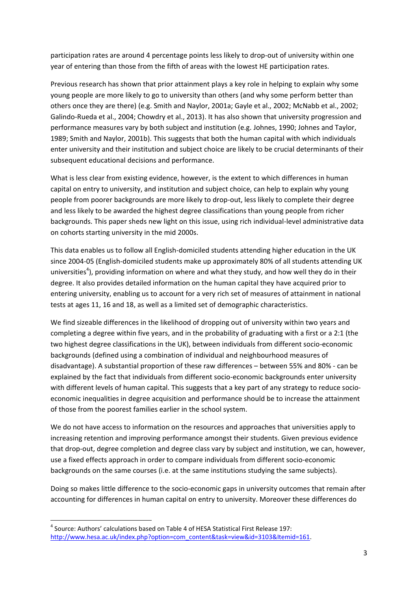participation rates are around 4 percentage points less likely to drop-out of university within one year of entering than those from the fifth of areas with the lowest HE participation rates.

Previous research has shown that prior attainment plays a key role in helping to explain why some young people are more likely to go to university than others (and why some perform better than others once they are there) (e.g. Smith and Naylor, 2001a; Gayle et al., 2002; McNabb et al., 2002; Galindo-Rueda et al., 2004; Chowdry et al., 2013). It has also shown that university progression and performance measures vary by both subject and institution (e.g. Johnes, 1990; Johnes and Taylor, 1989; Smith and Naylor, 2001b). This suggests that both the human capital with which individuals enter university and their institution and subject choice are likely to be crucial determinants of their subsequent educational decisions and performance.

What is less clear from existing evidence, however, is the extent to which differences in human capital on entry to university, and institution and subject choice, can help to explain why young people from poorer backgrounds are more likely to drop-out, less likely to complete their degree and less likely to be awarded the highest degree classifications than young people from richer backgrounds. This paper sheds new light on this issue, using rich individual-level administrative data on cohorts starting university in the mid 2000s.

This data enables us to follow all English-domiciled students attending higher education in the UK since 2004-05 (English-domiciled students make up approximately 80% of all students attending UK universities<sup>4</sup>), providing information on where and what they study, and how well they do in their degree. It also provides detailed information on the human capital they have acquired prior to entering university, enabling us to account for a very rich set of measures of attainment in national tests at ages 11, 16 and 18, as well as a limited set of demographic characteristics.

We find sizeable differences in the likelihood of dropping out of university within two years and completing a degree within five years, and in the probability of graduating with a first or a 2:1 (the two highest degree classifications in the UK), between individuals from different socio-economic backgrounds (defined using a combination of individual and neighbourhood measures of disadvantage). A substantial proportion of these raw differences – between 55% and 80% - can be explained by the fact that individuals from different socio-economic backgrounds enter university with different levels of human capital. This suggests that a key part of any strategy to reduce socioeconomic inequalities in degree acquisition and performance should be to increase the attainment of those from the poorest families earlier in the school system.

We do not have access to information on the resources and approaches that universities apply to increasing retention and improving performance amongst their students. Given previous evidence that drop-out, degree completion and degree class vary by subject and institution, we can, however, use a fixed effects approach in order to compare individuals from different socio-economic backgrounds on the same courses (i.e. at the same institutions studying the same subjects).

Doing so makes little difference to the socio-economic gaps in university outcomes that remain after accounting for differences in human capital on entry to university. Moreover these differences do

 $\overline{a}$ 

<sup>&</sup>lt;sup>4</sup> Source: Authors' calculations based on Table 4 of HESA Statistical First Release 197: [http://www.hesa.ac.uk/index.php?option=com\\_content&task=view&id=3103&Itemid=161.](http://www.hesa.ac.uk/index.php?option=com_content&task=view&id=3103&Itemid=161)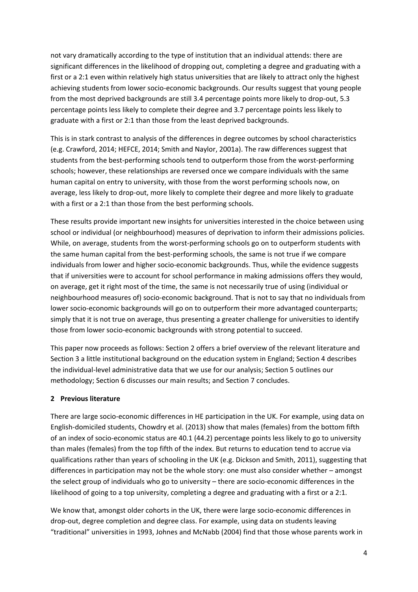not vary dramatically according to the type of institution that an individual attends: there are significant differences in the likelihood of dropping out, completing a degree and graduating with a first or a 2:1 even within relatively high status universities that are likely to attract only the highest achieving students from lower socio-economic backgrounds. Our results suggest that young people from the most deprived backgrounds are still 3.4 percentage points more likely to drop-out, 5.3 percentage points less likely to complete their degree and 3.7 percentage points less likely to graduate with a first or 2:1 than those from the least deprived backgrounds.

This is in stark contrast to analysis of the differences in degree outcomes by school characteristics (e.g. Crawford, 2014; HEFCE, 2014; Smith and Naylor, 2001a). The raw differences suggest that students from the best-performing schools tend to outperform those from the worst-performing schools; however, these relationships are reversed once we compare individuals with the same human capital on entry to university, with those from the worst performing schools now, on average, less likely to drop-out, more likely to complete their degree and more likely to graduate with a first or a 2:1 than those from the best performing schools.

These results provide important new insights for universities interested in the choice between using school or individual (or neighbourhood) measures of deprivation to inform their admissions policies. While, on average, students from the worst-performing schools go on to outperform students with the same human capital from the best-performing schools, the same is not true if we compare individuals from lower and higher socio-economic backgrounds. Thus, while the evidence suggests that if universities were to account for school performance in making admissions offers they would, on average, get it right most of the time, the same is not necessarily true of using (individual or neighbourhood measures of) socio-economic background. That is not to say that no individuals from lower socio-economic backgrounds will go on to outperform their more advantaged counterparts; simply that it is not true on average, thus presenting a greater challenge for universities to identify those from lower socio-economic backgrounds with strong potential to succeed.

This paper now proceeds as follows: Section 2 offers a brief overview of the relevant literature and Section 3 a little institutional background on the education system in England; Section 4 describes the individual-level administrative data that we use for our analysis; Section 5 outlines our methodology; Section 6 discusses our main results; and Section 7 concludes.

# **2 Previous literature**

There are large socio-economic differences in HE participation in the UK. For example, using data on English-domiciled students, Chowdry et al. (2013) show that males (females) from the bottom fifth of an index of socio-economic status are 40.1 (44.2) percentage points less likely to go to university than males (females) from the top fifth of the index. But returns to education tend to accrue via qualifications rather than years of schooling in the UK (e.g. Dickson and Smith, 2011), suggesting that differences in participation may not be the whole story: one must also consider whether – amongst the select group of individuals who go to university – there are socio-economic differences in the likelihood of going to a top university, completing a degree and graduating with a first or a 2:1.

We know that, amongst older cohorts in the UK, there were large socio-economic differences in drop-out, degree completion and degree class. For example, using data on students leaving "traditional" universities in 1993, Johnes and McNabb (2004) find that those whose parents work in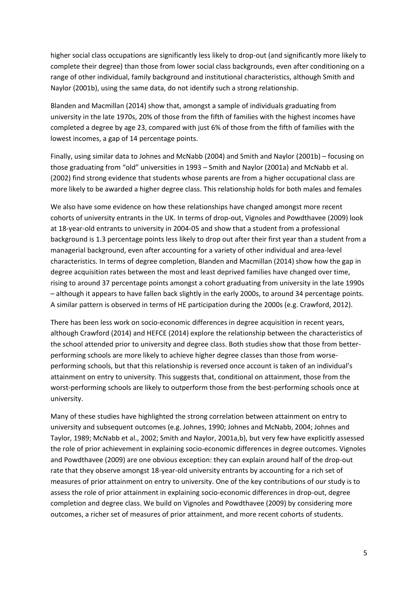higher social class occupations are significantly less likely to drop-out (and significantly more likely to complete their degree) than those from lower social class backgrounds, even after conditioning on a range of other individual, family background and institutional characteristics, although Smith and Naylor (2001b), using the same data, do not identify such a strong relationship.

Blanden and Macmillan (2014) show that, amongst a sample of individuals graduating from university in the late 1970s, 20% of those from the fifth of families with the highest incomes have completed a degree by age 23, compared with just 6% of those from the fifth of families with the lowest incomes, a gap of 14 percentage points.

Finally, using similar data to Johnes and McNabb (2004) and Smith and Naylor (2001b) – focusing on those graduating from "old" universities in 1993 – Smith and Naylor (2001a) and McNabb et al. (2002) find strong evidence that students whose parents are from a higher occupational class are more likely to be awarded a higher degree class. This relationship holds for both males and females

We also have some evidence on how these relationships have changed amongst more recent cohorts of university entrants in the UK. In terms of drop-out, Vignoles and Powdthavee (2009) look at 18-year-old entrants to university in 2004-05 and show that a student from a professional background is 1.3 percentage points less likely to drop out after their first year than a student from a managerial background, even after accounting for a variety of other individual and area-level characteristics. In terms of degree completion, Blanden and Macmillan (2014) show how the gap in degree acquisition rates between the most and least deprived families have changed over time, rising to around 37 percentage points amongst a cohort graduating from university in the late 1990s – although it appears to have fallen back slightly in the early 2000s, to around 34 percentage points. A similar pattern is observed in terms of HE participation during the 2000s (e.g. Crawford, 2012).

There has been less work on socio-economic differences in degree acquisition in recent years, although Crawford (2014) and HEFCE (2014) explore the relationship between the characteristics of the school attended prior to university and degree class. Both studies show that those from betterperforming schools are more likely to achieve higher degree classes than those from worseperforming schools, but that this relationship is reversed once account is taken of an individual's attainment on entry to university. This suggests that, conditional on attainment, those from the worst-performing schools are likely to outperform those from the best-performing schools once at university.

Many of these studies have highlighted the strong correlation between attainment on entry to university and subsequent outcomes (e.g. Johnes, 1990; Johnes and McNabb, 2004; Johnes and Taylor, 1989; McNabb et al., 2002; Smith and Naylor, 2001a,b), but very few have explicitly assessed the role of prior achievement in explaining socio-economic differences in degree outcomes. Vignoles and Powdthavee (2009) are one obvious exception: they can explain around half of the drop-out rate that they observe amongst 18-year-old university entrants by accounting for a rich set of measures of prior attainment on entry to university. One of the key contributions of our study is to assess the role of prior attainment in explaining socio-economic differences in drop-out, degree completion and degree class. We build on Vignoles and Powdthavee (2009) by considering more outcomes, a richer set of measures of prior attainment, and more recent cohorts of students.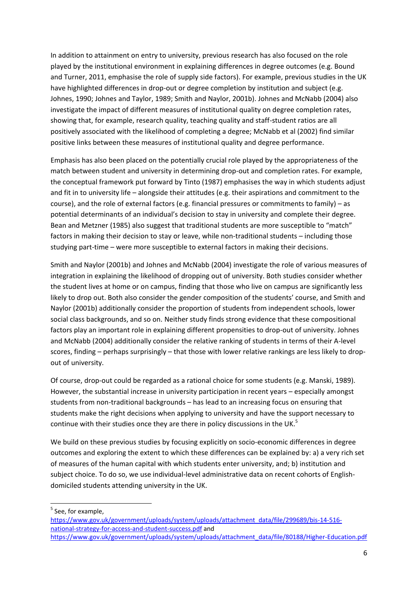In addition to attainment on entry to university, previous research has also focused on the role played by the institutional environment in explaining differences in degree outcomes (e.g. Bound and Turner, 2011, emphasise the role of supply side factors). For example, previous studies in the UK have highlighted differences in drop-out or degree completion by institution and subject (e.g. Johnes, 1990; Johnes and Taylor, 1989; Smith and Naylor, 2001b). Johnes and McNabb (2004) also investigate the impact of different measures of institutional quality on degree completion rates, showing that, for example, research quality, teaching quality and staff-student ratios are all positively associated with the likelihood of completing a degree; McNabb et al (2002) find similar positive links between these measures of institutional quality and degree performance.

Emphasis has also been placed on the potentially crucial role played by the appropriateness of the match between student and university in determining drop-out and completion rates. For example, the conceptual framework put forward by Tinto (1987) emphasises the way in which students adjust and fit in to university life – alongside their attitudes (e.g. their aspirations and commitment to the course), and the role of external factors (e.g. financial pressures or commitments to family) – as potential determinants of an individual's decision to stay in university and complete their degree. Bean and Metzner (1985) also suggest that traditional students are more susceptible to "match" factors in making their decision to stay or leave, while non-traditional students – including those studying part-time – were more susceptible to external factors in making their decisions.

Smith and Naylor (2001b) and Johnes and McNabb (2004) investigate the role of various measures of integration in explaining the likelihood of dropping out of university. Both studies consider whether the student lives at home or on campus, finding that those who live on campus are significantly less likely to drop out. Both also consider the gender composition of the students' course, and Smith and Naylor (2001b) additionally consider the proportion of students from independent schools, lower social class backgrounds, and so on. Neither study finds strong evidence that these compositional factors play an important role in explaining different propensities to drop-out of university. Johnes and McNabb (2004) additionally consider the relative ranking of students in terms of their A-level scores, finding – perhaps surprisingly – that those with lower relative rankings are less likely to dropout of university.

Of course, drop-out could be regarded as a rational choice for some students (e.g. Manski, 1989). However, the substantial increase in university participation in recent years – especially amongst students from non-traditional backgrounds – has lead to an increasing focus on ensuring that students make the right decisions when applying to university and have the support necessary to continue with their studies once they are there in policy discussions in the UK.<sup>5</sup>

We build on these previous studies by focusing explicitly on socio-economic differences in degree outcomes and exploring the extent to which these differences can be explained by: a) a very rich set of measures of the human capital with which students enter university, and; b) institution and subject choice. To do so, we use individual-level administrative data on recent cohorts of Englishdomiciled students attending university in the UK.

<sup>5</sup> See, for example,

1

[https://www.gov.uk/government/uploads/system/uploads/attachment\\_data/file/299689/bis-14-516](https://www.gov.uk/government/uploads/system/uploads/attachment_data/file/299689/bis-14-516-national-strategy-for-access-and-student-success.pdf) [national-strategy-for-access-and-student-success.pdf](https://www.gov.uk/government/uploads/system/uploads/attachment_data/file/299689/bis-14-516-national-strategy-for-access-and-student-success.pdf) and [https://www.gov.uk/government/uploads/system/uploads/attachment\\_data/file/80188/Higher-Education.pdf](https://www.gov.uk/government/uploads/system/uploads/attachment_data/file/80188/Higher-Education.pdf)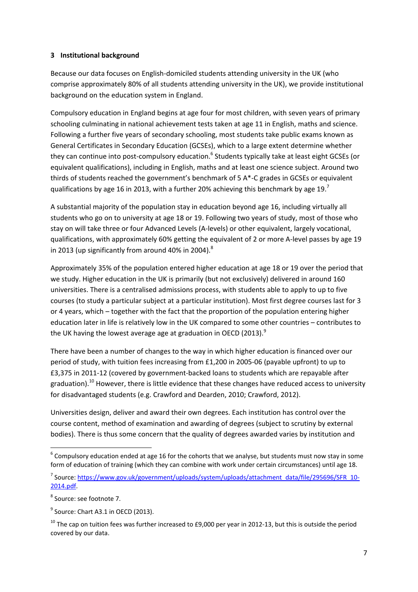### **3 Institutional background**

Because our data focuses on English-domiciled students attending university in the UK (who comprise approximately 80% of all students attending university in the UK), we provide institutional background on the education system in England.

Compulsory education in England begins at age four for most children, with seven years of primary schooling culminating in national achievement tests taken at age 11 in English, maths and science. Following a further five years of secondary schooling, most students take public exams known as General Certificates in Secondary Education (GCSEs), which to a large extent determine whether they can continue into post-compulsory education.<sup>6</sup> Students typically take at least eight GCSEs (or equivalent qualifications), including in English, maths and at least one science subject. Around two thirds of students reached the government's benchmark of 5 A\*-C grades in GCSEs or equivalent qualifications by age 16 in 2013, with a further 20% achieving this benchmark by age 19.<sup>7</sup>

A substantial majority of the population stay in education beyond age 16, including virtually all students who go on to university at age 18 or 19. Following two years of study, most of those who stay on will take three or four Advanced Levels (A-levels) or other equivalent, largely vocational, qualifications, with approximately 60% getting the equivalent of 2 or more A-level passes by age 19 in 2013 (up significantly from around 40% in 2004).<sup>8</sup>

Approximately 35% of the population entered higher education at age 18 or 19 over the period that we study. Higher education in the UK is primarily (but not exclusively) delivered in around 160 universities. There is a centralised admissions process, with students able to apply to up to five courses (to study a particular subject at a particular institution). Most first degree courses last for 3 or 4 years, which – together with the fact that the proportion of the population entering higher education later in life is relatively low in the UK compared to some other countries – contributes to the UK having the lowest average age at graduation in OECD (2013). $9$ 

There have been a number of changes to the way in which higher education is financed over our period of study, with tuition fees increasing from £1,200 in 2005-06 (payable upfront) to up to £3,375 in 2011-12 (covered by government-backed loans to students which are repayable after graduation).<sup>10</sup> However, there is little evidence that these changes have reduced access to university for disadvantaged students (e.g. Crawford and Dearden, 2010; Crawford, 2012).

Universities design, deliver and award their own degrees. Each institution has control over the course content, method of examination and awarding of degrees (subject to scrutiny by external bodies). There is thus some concern that the quality of degrees awarded varies by institution and

**<sup>.</sup>**  $^6$  Compulsory education ended at age 16 for the cohorts that we analyse, but students must now stay in some form of education of training (which they can combine with work under certain circumstances) until age 18.

<sup>&</sup>lt;sup>7</sup> Source[: https://www.gov.uk/government/uploads/system/uploads/attachment\\_data/file/295696/SFR\\_10-](https://www.gov.uk/government/uploads/system/uploads/attachment_data/file/295696/SFR_10-2014.pdf) [2014.pdf.](https://www.gov.uk/government/uploads/system/uploads/attachment_data/file/295696/SFR_10-2014.pdf)

<sup>8</sup> Source: see footnote 7.

 $<sup>9</sup>$  Source: Chart A3.1 in OECD (2013).</sup>

 $10$  The cap on tuition fees was further increased to £9,000 per year in 2012-13, but this is outside the period covered by our data.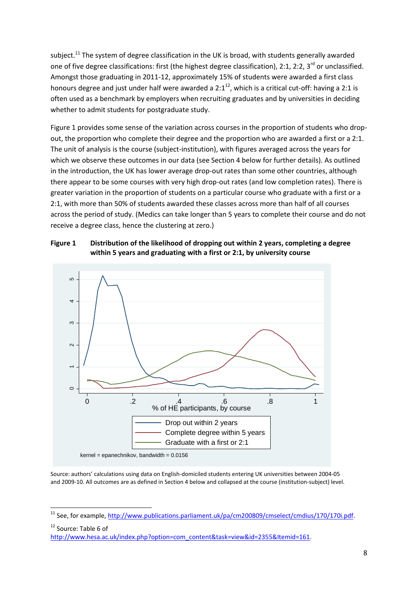subject.<sup>11</sup> The system of degree classification in the UK is broad, with students generally awarded one of five degree classifications: first (the highest degree classification), 2:1, 2:2, 3<sup>rd</sup> or unclassified. Amongst those graduating in 2011-12, approximately 15% of students were awarded a first class honours degree and just under half were awarded a  $2:1^{12}$ , which is a critical cut-off: having a 2:1 is often used as a benchmark by employers when recruiting graduates and by universities in deciding whether to admit students for postgraduate study.

Figure 1 provides some sense of the variation across courses in the proportion of students who dropout, the proportion who complete their degree and the proportion who are awarded a first or a 2:1. The unit of analysis is the course (subject-institution), with figures averaged across the years for which we observe these outcomes in our data (see Section 4 below for further details). As outlined in the introduction, the UK has lower average drop-out rates than some other countries, although there appear to be some courses with very high drop-out rates (and low completion rates). There is greater variation in the proportion of students on a particular course who graduate with a first or a 2:1, with more than 50% of students awarded these classes across more than half of all courses across the period of study. (Medics can take longer than 5 years to complete their course and do not receive a degree class, hence the clustering at zero.)





Source: authors' calculations using data on English-domiciled students entering UK universities between 2004-05 and 2009-10. All outcomes are as defined in Section 4 below and collapsed at the course (institution-subject) level.

**.** 

<sup>&</sup>lt;sup>11</sup> See, for example[, http://www.publications.parliament.uk/pa/cm200809/cmselect/cmdius/170/170i.pdf.](http://www.publications.parliament.uk/pa/cm200809/cmselect/cmdius/170/170i.pdf)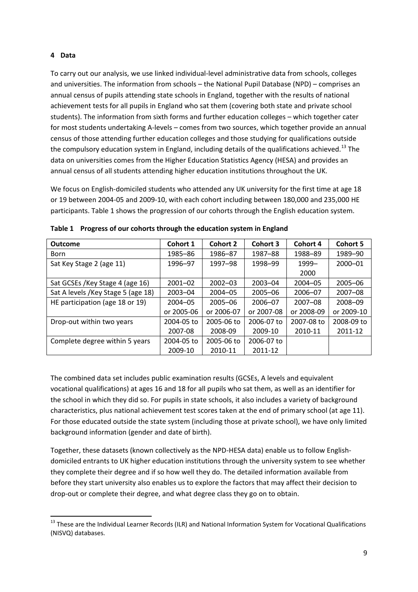#### **4 Data**

To carry out our analysis, we use linked individual-level administrative data from schools, colleges and universities. The information from schools – the National Pupil Database (NPD) – comprises an annual census of pupils attending state schools in England, together with the results of national achievement tests for all pupils in England who sat them (covering both state and private school students). The information from sixth forms and further education colleges – which together cater for most students undertaking A-levels – comes from two sources, which together provide an annual census of those attending further education colleges and those studying for qualifications outside the compulsory education system in England, including details of the qualifications achieved.<sup>13</sup> The data on universities comes from the Higher Education Statistics Agency (HESA) and provides an annual census of all students attending higher education institutions throughout the UK.

We focus on English-domiciled students who attended any UK university for the first time at age 18 or 19 between 2004-05 and 2009-10, with each cohort including between 180,000 and 235,000 HE participants. Table 1 shows the progression of our cohorts through the English education system.

| <b>Outcome</b>                      | Cohort 1    | Cohort 2    | <b>Cohort 3</b> | Cohort 4    | <b>Cohort 5</b> |
|-------------------------------------|-------------|-------------|-----------------|-------------|-----------------|
| <b>Born</b>                         | 1985-86     | 1986-87     | 1987-88         | 1988-89     | 1989-90         |
| Sat Key Stage 2 (age 11)            | 1996-97     | 1997-98     | 1998-99         | 1999-       | $2000 - 01$     |
|                                     |             |             |                 | 2000        |                 |
| Sat GCSEs / Key Stage 4 (age 16)    | $2001 - 02$ | $2002 - 03$ | $2003 - 04$     | $2004 - 05$ | $2005 - 06$     |
| Sat A levels / Key Stage 5 (age 18) | $2003 - 04$ | $2004 - 05$ | $2005 - 06$     | $2006 - 07$ | $2007 - 08$     |
| HE participation (age 18 or 19)     | $2004 - 05$ | $2005 - 06$ | 2006-07         | $2007 - 08$ | 2008-09         |
|                                     | or 2005-06  | or 2006-07  | or 2007-08      | or 2008-09  | or 2009-10      |
| Drop-out within two years           | 2004-05 to  | 2005-06 to  | 2006-07 to      | 2007-08 to  | 2008-09 to      |
|                                     | 2007-08     | 2008-09     | 2009-10         | 2010-11     | 2011-12         |
| Complete degree within 5 years      | 2004-05 to  | 2005-06 to  | 2006-07 to      |             |                 |
|                                     | 2009-10     | 2010-11     | 2011-12         |             |                 |

**Table 1 Progress of our cohorts through the education system in England**

The combined data set includes public examination results (GCSEs, A levels and equivalent vocational qualifications) at ages 16 and 18 for all pupils who sat them, as well as an identifier for the school in which they did so. For pupils in state schools, it also includes a variety of background characteristics, plus national achievement test scores taken at the end of primary school (at age 11). For those educated outside the state system (including those at private school), we have only limited background information (gender and date of birth).

Together, these datasets (known collectively as the NPD-HESA data) enable us to follow Englishdomiciled entrants to UK higher education institutions through the university system to see whether they complete their degree and if so how well they do. The detailed information available from before they start university also enables us to explore the factors that may affect their decision to drop-out or complete their degree, and what degree class they go on to obtain.

 $\overline{a}$ <sup>13</sup> These are the Individual Learner Records (ILR) and National Information System for Vocational Qualifications (NISVQ) databases.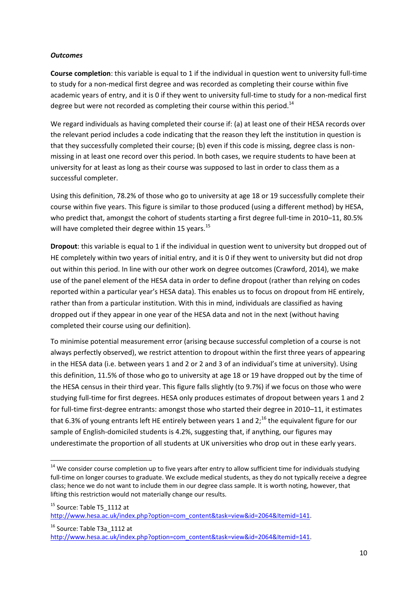#### *Outcomes*

**.** 

**Course completion**: this variable is equal to 1 if the individual in question went to university full-time to study for a non-medical first degree and was recorded as completing their course within five academic years of entry, and it is 0 if they went to university full-time to study for a non-medical first degree but were not recorded as completing their course within this period.<sup>14</sup>

We regard individuals as having completed their course if: (a) at least one of their HESA records over the relevant period includes a code indicating that the reason they left the institution in question is that they successfully completed their course; (b) even if this code is missing, degree class is nonmissing in at least one record over this period. In both cases, we require students to have been at university for at least as long as their course was supposed to last in order to class them as a successful completer.

Using this definition, 78.2% of those who go to university at age 18 or 19 successfully complete their course within five years. This figure is similar to those produced (using a different method) by HESA, who predict that, amongst the cohort of students starting a first degree full-time in 2010–11, 80.5% will have completed their degree within 15 years.<sup>15</sup>

**Dropout**: this variable is equal to 1 if the individual in question went to university but dropped out of HE completely within two years of initial entry, and it is 0 if they went to university but did not drop out within this period. In line with our other work on degree outcomes (Crawford, 2014), we make use of the panel element of the HESA data in order to define dropout (rather than relying on codes reported within a particular year's HESA data). This enables us to focus on dropout from HE entirely, rather than from a particular institution. With this in mind, individuals are classified as having dropped out if they appear in one year of the HESA data and not in the next (without having completed their course using our definition).

To minimise potential measurement error (arising because successful completion of a course is not always perfectly observed), we restrict attention to dropout within the first three years of appearing in the HESA data (i.e. between years 1 and 2 or 2 and 3 of an individual's time at university). Using this definition, 11.5% of those who go to university at age 18 or 19 have dropped out by the time of the HESA census in their third year. This figure falls slightly (to 9.7%) if we focus on those who were studying full-time for first degrees. HESA only produces estimates of dropout between years 1 and 2 for full-time first-degree entrants: amongst those who started their degree in 2010–11, it estimates that 6.3% of young entrants left HE entirely between years 1 and  $2$ ;<sup>16</sup> the equivalent figure for our sample of English-domiciled students is 4.2%, suggesting that, if anything, our figures may underestimate the proportion of all students at UK universities who drop out in these early years.

<sup>16</sup> Source: Table T3a 1112 at [http://www.hesa.ac.uk/index.php?option=com\\_content&task=view&id=2064&Itemid=141.](http://www.hesa.ac.uk/index.php?option=com_content&task=view&id=2064&Itemid=141)

<sup>&</sup>lt;sup>14</sup> We consider course completion up to five years after entry to allow sufficient time for individuals studying full-time on longer courses to graduate. We exclude medical students, as they do not typically receive a degree class; hence we do not want to include them in our degree class sample. It is worth noting, however, that lifting this restriction would not materially change our results.

 $15$  Source: Table T5  $1112$  at http://www.hesa.ac.uk/index.php?option=com\_content&task=view&id=2064&Itemid=141.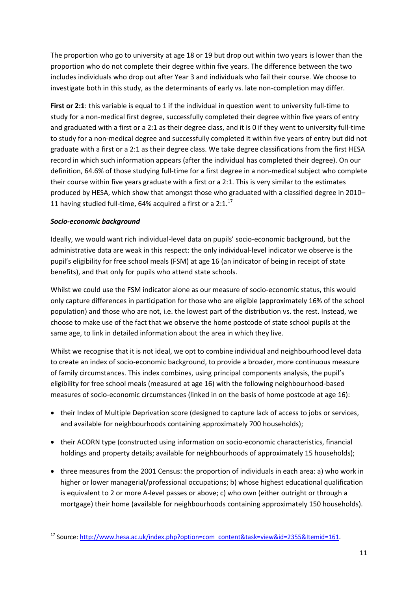The proportion who go to university at age 18 or 19 but drop out within two years is lower than the proportion who do not complete their degree within five years. The difference between the two includes individuals who drop out after Year 3 and individuals who fail their course. We choose to investigate both in this study, as the determinants of early vs. late non-completion may differ.

**First or 2:1**: this variable is equal to 1 if the individual in question went to university full-time to study for a non-medical first degree, successfully completed their degree within five years of entry and graduated with a first or a 2:1 as their degree class, and it is 0 if they went to university full-time to study for a non-medical degree and successfully completed it within five years of entry but did not graduate with a first or a 2:1 as their degree class. We take degree classifications from the first HESA record in which such information appears (after the individual has completed their degree). On our definition, 64.6% of those studying full-time for a first degree in a non-medical subject who complete their course within five years graduate with a first or a 2:1. This is very similar to the estimates produced by HESA, which show that amongst those who graduated with a classified degree in 2010– 11 having studied full-time, 64% acquired a first or a  $2:1.^{17}$ 

# *Socio-economic background*

Ideally, we would want rich individual-level data on pupils' socio-economic background, but the administrative data are weak in this respect: the only individual-level indicator we observe is the pupil's eligibility for free school meals (FSM) at age 16 (an indicator of being in receipt of state benefits), and that only for pupils who attend state schools.

Whilst we could use the FSM indicator alone as our measure of socio-economic status, this would only capture differences in participation for those who are eligible (approximately 16% of the school population) and those who are not, i.e. the lowest part of the distribution vs. the rest. Instead, we choose to make use of the fact that we observe the home postcode of state school pupils at the same age, to link in detailed information about the area in which they live.

Whilst we recognise that it is not ideal, we opt to combine individual and neighbourhood level data to create an index of socio-economic background, to provide a broader, more continuous measure of family circumstances. This index combines, using principal components analysis, the pupil's eligibility for free school meals (measured at age 16) with the following neighbourhood-based measures of socio-economic circumstances (linked in on the basis of home postcode at age 16):

- their Index of Multiple Deprivation score (designed to capture lack of access to jobs or services, and available for neighbourhoods containing approximately 700 households);
- their ACORN type (constructed using information on socio-economic characteristics, financial holdings and property details; available for neighbourhoods of approximately 15 households);
- three measures from the 2001 Census: the proportion of individuals in each area: a) who work in higher or lower managerial/professional occupations; b) whose highest educational qualification is equivalent to 2 or more A-level passes or above; c) who own (either outright or through a mortgage) their home (available for neighbourhoods containing approximately 150 households).

**<sup>.</sup>** <sup>17</sup> Source[: http://www.hesa.ac.uk/index.php?option=com\\_content&task=view&id=2355&Itemid=161.](http://www.hesa.ac.uk/index.php?option=com_content&task=view&id=2355&Itemid=161)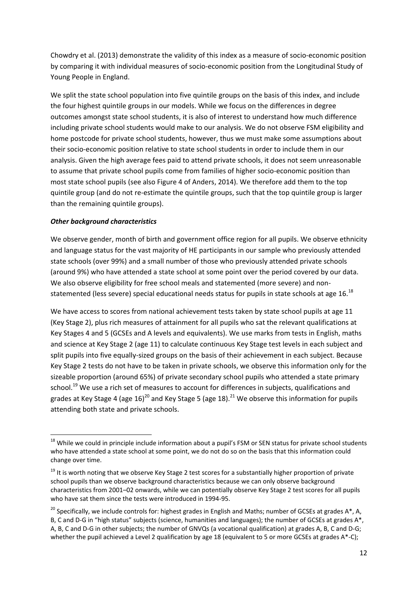Chowdry et al. (2013) demonstrate the validity of this index as a measure of socio-economic position by comparing it with individual measures of socio-economic position from the Longitudinal Study of Young People in England.

We split the state school population into five quintile groups on the basis of this index, and include the four highest quintile groups in our models. While we focus on the differences in degree outcomes amongst state school students, it is also of interest to understand how much difference including private school students would make to our analysis. We do not observe FSM eligibility and home postcode for private school students, however, thus we must make some assumptions about their socio-economic position relative to state school students in order to include them in our analysis. Given the high average fees paid to attend private schools, it does not seem unreasonable to assume that private school pupils come from families of higher socio-economic position than most state school pupils (see also Figure 4 of Anders, 2014). We therefore add them to the top quintile group (and do not re-estimate the quintile groups, such that the top quintile group is larger than the remaining quintile groups).

#### *Other background characteristics*

1

We observe gender, month of birth and government office region for all pupils. We observe ethnicity and language status for the vast majority of HE participants in our sample who previously attended state schools (over 99%) and a small number of those who previously attended private schools (around 9%) who have attended a state school at some point over the period covered by our data. We also observe eligibility for free school meals and statemented (more severe) and nonstatemented (less severe) special educational needs status for pupils in state schools at age 16.<sup>18</sup>

We have access to scores from national achievement tests taken by state school pupils at age 11 (Key Stage 2), plus rich measures of attainment for all pupils who sat the relevant qualifications at Key Stages 4 and 5 (GCSEs and A levels and equivalents). We use marks from tests in English, maths and science at Key Stage 2 (age 11) to calculate continuous Key Stage test levels in each subject and split pupils into five equally-sized groups on the basis of their achievement in each subject. Because Key Stage 2 tests do not have to be taken in private schools, we observe this information only for the sizeable proportion (around 65%) of private secondary school pupils who attended a state primary school.<sup>19</sup> We use a rich set of measures to account for differences in subjects, qualifications and grades at Key Stage 4 (age 16)<sup>20</sup> and Key Stage 5 (age 18).<sup>21</sup> We observe this information for pupils attending both state and private schools.

<sup>&</sup>lt;sup>18</sup> While we could in principle include information about a pupil's FSM or SEN status for private school students who have attended a state school at some point, we do not do so on the basis that this information could change over time.

<sup>&</sup>lt;sup>19</sup> It is worth noting that we observe Key Stage 2 test scores for a substantially higher proportion of private school pupils than we observe background characteristics because we can only observe background characteristics from 2001–02 onwards, while we can potentially observe Key Stage 2 test scores for all pupils who have sat them since the tests were introduced in 1994-95.

<sup>&</sup>lt;sup>20</sup> Specifically, we include controls for: highest grades in English and Maths; number of GCSEs at grades A\*, A, B, C and D-G in "high status" subjects (science, humanities and languages); the number of GCSEs at grades A\*, A, B, C and D-G in other subjects; the number of GNVQs (a vocational qualification) at grades A, B, C and D-G; whether the pupil achieved a Level 2 qualification by age 18 (equivalent to 5 or more GCSEs at grades A\*-C);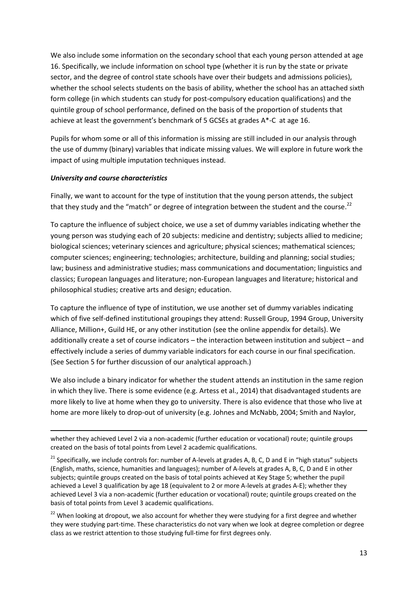We also include some information on the secondary school that each young person attended at age 16. Specifically, we include information on school type (whether it is run by the state or private sector, and the degree of control state schools have over their budgets and admissions policies), whether the school selects students on the basis of ability, whether the school has an attached sixth form college (in which students can study for post-compulsory education qualifications) and the quintile group of school performance, defined on the basis of the proportion of students that achieve at least the government's benchmark of 5 GCSEs at grades A\*-C at age 16.

Pupils for whom some or all of this information is missing are still included in our analysis through the use of dummy (binary) variables that indicate missing values. We will explore in future work the impact of using multiple imputation techniques instead.

#### *University and course characteristics*

1

Finally, we want to account for the type of institution that the young person attends, the subject that they study and the "match" or degree of integration between the student and the course.<sup>22</sup>

To capture the influence of subject choice, we use a set of dummy variables indicating whether the young person was studying each of 20 subjects: medicine and dentistry; subjects allied to medicine; biological sciences; veterinary sciences and agriculture; physical sciences; mathematical sciences; computer sciences; engineering; technologies; architecture, building and planning; social studies; law; business and administrative studies; mass communications and documentation; linguistics and classics; European languages and literature; non-European languages and literature; historical and philosophical studies; creative arts and design; education.

To capture the influence of type of institution, we use another set of dummy variables indicating which of five self-defined institutional groupings they attend: Russell Group, 1994 Group, University Alliance, Million+, Guild HE, or any other institution (see the online appendix for details). We additionally create a set of course indicators – the interaction between institution and subject – and effectively include a series of dummy variable indicators for each course in our final specification. (See Section 5 for further discussion of our analytical approach.)

We also include a binary indicator for whether the student attends an institution in the same region in which they live. There is some evidence (e.g. Artess et al., 2014) that disadvantaged students are more likely to live at home when they go to university. There is also evidence that those who live at home are more likely to drop-out of university (e.g. Johnes and McNabb, 2004; Smith and Naylor,

whether they achieved Level 2 via a non-academic (further education or vocational) route; quintile groups created on the basis of total points from Level 2 academic qualifications.

<sup>&</sup>lt;sup>21</sup> Specifically, we include controls for: number of A-levels at grades A, B, C, D and E in "high status" subjects (English, maths, science, humanities and languages); number of A-levels at grades A, B, C, D and E in other subjects; quintile groups created on the basis of total points achieved at Key Stage 5; whether the pupil achieved a Level 3 qualification by age 18 (equivalent to 2 or more A-levels at grades A-E); whether they achieved Level 3 via a non-academic (further education or vocational) route; quintile groups created on the basis of total points from Level 3 academic qualifications.

<sup>&</sup>lt;sup>22</sup> When looking at dropout, we also account for whether they were studying for a first degree and whether they were studying part-time. These characteristics do not vary when we look at degree completion or degree class as we restrict attention to those studying full-time for first degrees only.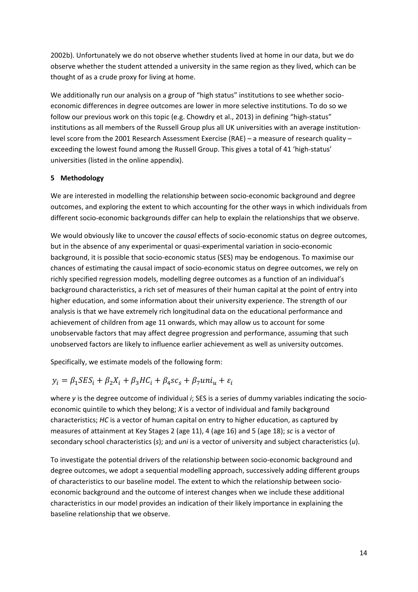2002b). Unfortunately we do not observe whether students lived at home in our data, but we do observe whether the student attended a university in the same region as they lived, which can be thought of as a crude proxy for living at home.

We additionally run our analysis on a group of "high status" institutions to see whether socioeconomic differences in degree outcomes are lower in more selective institutions. To do so we follow our previous work on this topic (e.g. Chowdry et al., 2013) in defining "high-status" institutions as all members of the Russell Group plus all UK universities with an average institutionlevel score from the 2001 Research Assessment Exercise (RAE) – a measure of research quality – exceeding the lowest found among the Russell Group. This gives a total of 41 'high-status' universities (listed in the online appendix).

# **5 Methodology**

We are interested in modelling the relationship between socio-economic background and degree outcomes, and exploring the extent to which accounting for the other ways in which individuals from different socio-economic backgrounds differ can help to explain the relationships that we observe.

We would obviously like to uncover the *causal* effects of socio-economic status on degree outcomes, but in the absence of any experimental or quasi-experimental variation in socio-economic background, it is possible that socio-economic status (SES) may be endogenous. To maximise our chances of estimating the causal impact of socio-economic status on degree outcomes, we rely on richly specified regression models, modelling degree outcomes as a function of an individual's background characteristics, a rich set of measures of their human capital at the point of entry into higher education, and some information about their university experience. The strength of our analysis is that we have extremely rich longitudinal data on the educational performance and achievement of children from age 11 onwards, which may allow us to account for some unobservable factors that may affect degree progression and performance, assuming that such unobserved factors are likely to influence earlier achievement as well as university outcomes.

Specifically, we estimate models of the following form:

# $y_i = \beta_1 SES_i + \beta_2 X_i + \beta_3 HC_i + \beta_4 SC_s + \beta_7 uni_i + \varepsilon_i$

where *y* is the degree outcome of individual *i*; SES is a series of dummy variables indicating the socioeconomic quintile to which they belong; *X* is a vector of individual and family background characteristics; *HC* is a vector of human capital on entry to higher education, as captured by measures of attainment at Key Stages 2 (age 11), 4 (age 16) and 5 (age 18); *sc* is a vector of secondary school characteristics (*s*); and *uni* is a vector of university and subject characteristics (*u*).

To investigate the potential drivers of the relationship between socio-economic background and degree outcomes, we adopt a sequential modelling approach, successively adding different groups of characteristics to our baseline model. The extent to which the relationship between socioeconomic background and the outcome of interest changes when we include these additional characteristics in our model provides an indication of their likely importance in explaining the baseline relationship that we observe.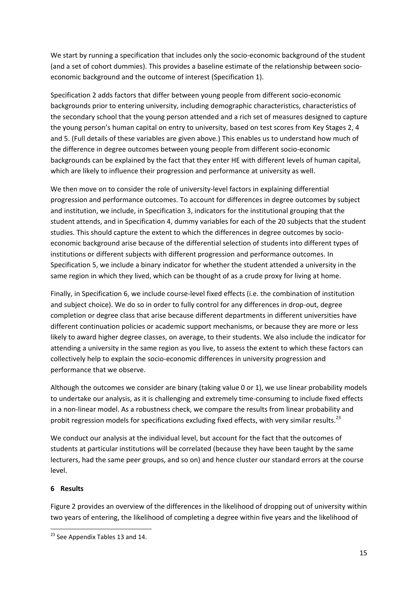We start by running a specification that includes only the socio-economic background of the student (and a set of cohort dummies). This provides a baseline estimate of the relationship between socioeconomic background and the outcome of interest (Specification 1).

Specification 2 adds factors that differ between young people from different socio-economic backgrounds prior to entering university, including demographic characteristics, characteristics of the secondary school that the young person attended and a rich set of measures designed to capture the young person's human capital on entry to university, based on test scores from Key Stages 2, 4 and 5. (Full details of these variables are given above.) This enables us to understand how much of the difference in degree outcomes between young people from different socio-economic backgrounds can be explained by the fact that they enter HE with different levels of human capital, which are likely to influence their progression and performance at university as well.

We then move on to consider the role of university-level factors in explaining differential progression and performance outcomes. To account for differences in degree outcomes by subject and institution, we include, in Specification 3, indicators for the institutional grouping that the student attends, and in Specification 4, dummy variables for each of the 20 subjects that the student studies. This should capture the extent to which the differences in degree outcomes by socioeconomic background arise because of the differential selection of students into different types of institutions or different subjects with different progression and performance outcomes. In Specification 5, we include a binary indicator for whether the student attended a university in the same region in which they lived, which can be thought of as a crude proxy for living at home.

Finally, in Specification 6, we include course-level fixed effects (i.e. the combination of institution and subject choice). We do so in order to fully control for any differences in drop-out, degree completion or degree class that arise because different departments in different universities have different continuation policies or academic support mechanisms, or because they are more or less likely to award higher degree classes, on average, to their students. We also include the indicator for attending a university in the same region as you live, to assess the extent to which these factors can collectively help to explain the socio-economic differences in university progression and performance that we observe.

Although the outcomes we consider are binary (taking value 0 or 1), we use linear probability models to undertake our analysis, as it is challenging and extremely time-consuming to include fixed effects in a non-linear model. As a robustness check, we compare the results from linear probability and probit regression models for specifications excluding fixed effects, with very similar results.<sup>23</sup>

We conduct our analysis at the individual level, but account for the fact that the outcomes of students at particular institutions will be correlated (because they have been taught by the same lecturers, had the same peer groups, and so on) and hence cluster our standard errors at the course level.

# **6 Results**

**.** 

Figure 2 provides an overview of the differences in the likelihood of dropping out of university within two years of entering, the likelihood of completing a degree within five years and the likelihood of

<sup>&</sup>lt;sup>23</sup> See Appendix Tables 13 and 14.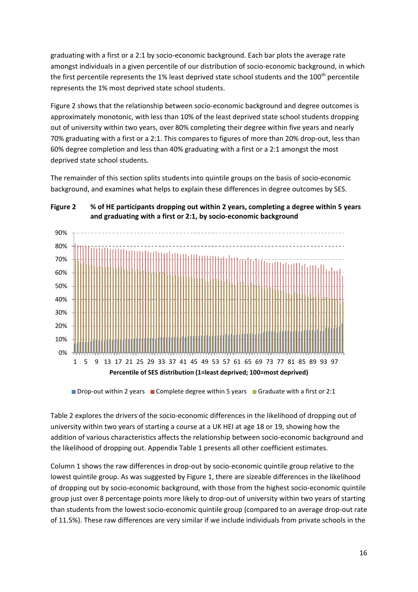graduating with a first or a 2:1 by socio-economic background. Each bar plots the average rate amongst individuals in a given percentile of our distribution of socio-economic background, in which the first percentile represents the 1% least deprived state school students and the 100<sup>th</sup> percentile represents the 1% most deprived state school students.

Figure 2 shows that the relationship between socio-economic background and degree outcomes is approximately monotonic, with less than 10% of the least deprived state school students dropping out of university within two years, over 80% completing their degree within five years and nearly 70% graduating with a first or a 2:1. This compares to figures of more than 20% drop-out, less than 60% degree completion and less than 40% graduating with a first or a 2:1 amongst the most deprived state school students.

The remainder of this section splits students into quintile groups on the basis of socio-economic background, and examines what helps to explain these differences in degree outcomes by SES.



**Figure 2 % of HE participants dropping out within 2 years, completing a degree within 5 years and graduating with a first or 2:1, by socio-economic background** 

Table 2 explores the drivers of the socio-economic differences in the likelihood of dropping out of university within two years of starting a course at a UK HEI at age 18 or 19, showing how the addition of various characteristics affects the relationship between socio-economic background and the likelihood of dropping out. Appendix Table 1 presents all other coefficient estimates.

Column 1 shows the raw differences in drop-out by socio-economic quintile group relative to the lowest quintile group. As was suggested by Figure 1, there are sizeable differences in the likelihood of dropping out by socio-economic background, with those from the highest socio-economic quintile group just over 8 percentage points more likely to drop-out of university within two years of starting than students from the lowest socio-economic quintile group (compared to an average drop-out rate of 11.5%). These raw differences are very similar if we include individuals from private schools in the

**Drop-out within 2 years Complete degree within 5 years Conduate with a first or 2:1**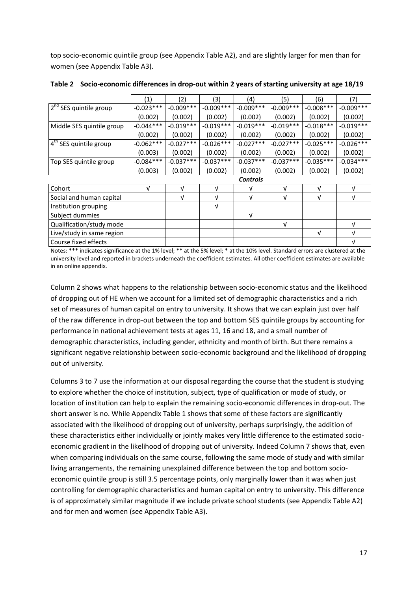top socio-economic quintile group (see Appendix Table A2), and are slightly larger for men than for women (see Appendix Table A3).

|                                    | (1)             | (2)         | (3)         | (4)         | (5)         | (6)         | (7)         |  |
|------------------------------------|-----------------|-------------|-------------|-------------|-------------|-------------|-------------|--|
| 2 <sup>nd</sup> SES quintile group | $-0.023***$     | $-0.009***$ | $-0.009***$ | $-0.009***$ | $-0.009***$ | $-0.008***$ | $-0.009***$ |  |
|                                    | (0.002)         | (0.002)     | (0.002)     | (0.002)     | (0.002)     | (0.002)     | (0.002)     |  |
| Middle SES quintile group          | $-0.044***$     | $-0.019***$ | $-0.019***$ | $-0.019***$ | $-0.019***$ | $-0.018***$ | $-0.019***$ |  |
|                                    | (0.002)         | (0.002)     | (0.002)     | (0.002)     | (0.002)     | (0.002)     | (0.002)     |  |
| 4 <sup>th</sup> SES quintile group | $-0.062***$     | $-0.027***$ | $-0.026***$ | $-0.027***$ | $-0.027***$ | $-0.025***$ | $-0.026***$ |  |
|                                    | (0.003)         | (0.002)     | (0.002)     | (0.002)     | (0.002)     | (0.002)     | (0.002)     |  |
| Top SES quintile group             | $-0.084***$     | $-0.037***$ | $-0.037***$ | $-0.037***$ | $-0.037***$ | $-0.035***$ | $-0.034***$ |  |
|                                    | (0.003)         | (0.002)     | (0.002)     | (0.002)     | (0.002)     | (0.002)     | (0.002)     |  |
|                                    | <b>Controls</b> |             |             |             |             |             |             |  |
| Cohort                             | $\sqrt{ }$      | $\sqrt{ }$  | $\sqrt{ }$  | v           | $\sqrt{ }$  | V           | V           |  |
| Social and human capital           |                 | $\sqrt{ }$  | v           | V           | $\sqrt{ }$  | V           | V           |  |
| Institution grouping               |                 |             | ν           |             |             |             |             |  |
| Subject dummies                    |                 |             |             | v           |             |             |             |  |
| Qualification/study mode           |                 |             |             |             | $\sqrt{ }$  |             | V           |  |
| Live/study in same region          |                 |             |             |             |             | V           | v           |  |
| Course fixed effects               |                 |             |             |             |             |             | V           |  |

**Table 2 Socio-economic differences in drop-out within 2 years of starting university at age 18/19**

Notes: \*\*\* indicates significance at the 1% level; \*\* at the 5% level; \* at the 10% level. Standard errors are clustered at the university level and reported in brackets underneath the coefficient estimates. All other coefficient estimates are available in an online appendix.

Column 2 shows what happens to the relationship between socio-economic status and the likelihood of dropping out of HE when we account for a limited set of demographic characteristics and a rich set of measures of human capital on entry to university. It shows that we can explain just over half of the raw difference in drop-out between the top and bottom SES quintile groups by accounting for performance in national achievement tests at ages 11, 16 and 18, and a small number of demographic characteristics, including gender, ethnicity and month of birth. But there remains a significant negative relationship between socio-economic background and the likelihood of dropping out of university.

Columns 3 to 7 use the information at our disposal regarding the course that the student is studying to explore whether the choice of institution, subject, type of qualification or mode of study, or location of institution can help to explain the remaining socio-economic differences in drop-out. The short answer is no. While Appendix Table 1 shows that some of these factors are significantly associated with the likelihood of dropping out of university, perhaps surprisingly, the addition of these characteristics either individually or jointly makes very little difference to the estimated socioeconomic gradient in the likelihood of dropping out of university. Indeed Column 7 shows that, even when comparing individuals on the same course, following the same mode of study and with similar living arrangements, the remaining unexplained difference between the top and bottom socioeconomic quintile group is still 3.5 percentage points, only marginally lower than it was when just controlling for demographic characteristics and human capital on entry to university. This difference is of approximately similar magnitude if we include private school students (see Appendix Table A2) and for men and women (see Appendix Table A3).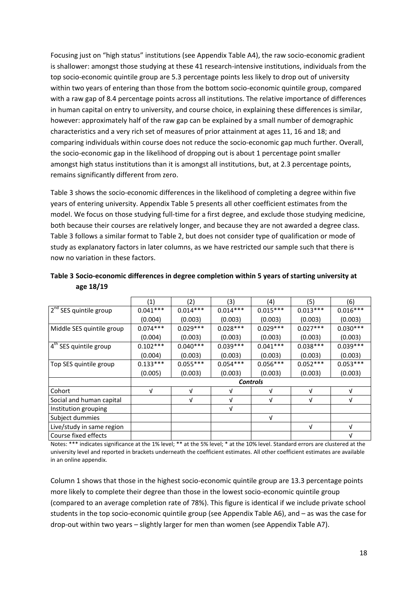Focusing just on "high status" institutions (see Appendix Table A4), the raw socio-economic gradient is shallower: amongst those studying at these 41 research-intensive institutions, individuals from the top socio-economic quintile group are 5.3 percentage points less likely to drop out of university within two years of entering than those from the bottom socio-economic quintile group, compared with a raw gap of 8.4 percentage points across all institutions. The relative importance of differences in human capital on entry to university, and course choice, in explaining these differences is similar, however: approximately half of the raw gap can be explained by a small number of demographic characteristics and a very rich set of measures of prior attainment at ages 11, 16 and 18; and comparing individuals within course does not reduce the socio-economic gap much further. Overall, the socio-economic gap in the likelihood of dropping out is about 1 percentage point smaller amongst high status institutions than it is amongst all institutions, but, at 2.3 percentage points, remains significantly different from zero.

Table 3 shows the socio-economic differences in the likelihood of completing a degree within five years of entering university. Appendix Table 5 presents all other coefficient estimates from the model. We focus on those studying full-time for a first degree, and exclude those studying medicine, both because their courses are relatively longer, and because they are not awarded a degree class. Table 3 follows a similar format to Table 2, but does not consider type of qualification or mode of study as explanatory factors in later columns, as we have restricted our sample such that there is now no variation in these factors.

|                                    | (1)             | (2)        | (3)        | (4)        | (5)        | (6)        |  |  |
|------------------------------------|-----------------|------------|------------|------------|------------|------------|--|--|
| 2 <sup>nd</sup> SES quintile group | $0.041***$      | $0.014***$ | $0.014***$ | $0.015***$ | $0.013***$ | $0.016***$ |  |  |
|                                    | (0.004)         | (0.003)    | (0.003)    | (0.003)    | (0.003)    | (0.003)    |  |  |
| Middle SES quintile group          | $0.074***$      | $0.029***$ | $0.028***$ | $0.029***$ | $0.027***$ | $0.030***$ |  |  |
|                                    | (0.004)         | (0.003)    | (0.003)    | (0.003)    | (0.003)    | (0.003)    |  |  |
| 4 <sup>th</sup> SES quintile group | $0.102***$      | $0.040***$ | $0.039***$ | $0.041***$ | $0.038***$ | $0.039***$ |  |  |
|                                    | (0.004)         | (0.003)    | (0.003)    | (0.003)    | (0.003)    | (0.003)    |  |  |
| Top SES quintile group             | $0.133***$      | $0.055***$ | $0.054***$ | $0.056***$ | $0.052***$ | $0.053***$ |  |  |
|                                    | (0.005)         | (0.003)    | (0.003)    | (0.003)    | (0.003)    | (0.003)    |  |  |
|                                    | <b>Controls</b> |            |            |            |            |            |  |  |
| Cohort                             | $\sqrt{ }$      | $\sqrt{ }$ | v          | ν          | $\sqrt{ }$ | $\sqrt{ }$ |  |  |
| Social and human capital           |                 | V          | v          | v          | V          | $\sqrt{ }$ |  |  |
| Institution grouping               |                 |            | V          |            |            |            |  |  |
| Subject dummies                    |                 |            |            | v          |            |            |  |  |
| Live/study in same region          |                 |            |            |            | V          | $\sqrt{ }$ |  |  |
| Course fixed effects               |                 |            |            |            |            | $\sqrt{ }$ |  |  |

**Table 3 Socio-economic differences in degree completion within 5 years of starting university at age 18/19**

Notes: \*\*\* indicates significance at the 1% level; \*\* at the 5% level; \* at the 10% level. Standard errors are clustered at the university level and reported in brackets underneath the coefficient estimates. All other coefficient estimates are available in an online appendix.

Column 1 shows that those in the highest socio-economic quintile group are 13.3 percentage points more likely to complete their degree than those in the lowest socio-economic quintile group (compared to an average completion rate of 78%). This figure is identical if we include private school students in the top socio-economic quintile group (see Appendix Table A6), and – as was the case for drop-out within two years – slightly larger for men than women (see Appendix Table A7).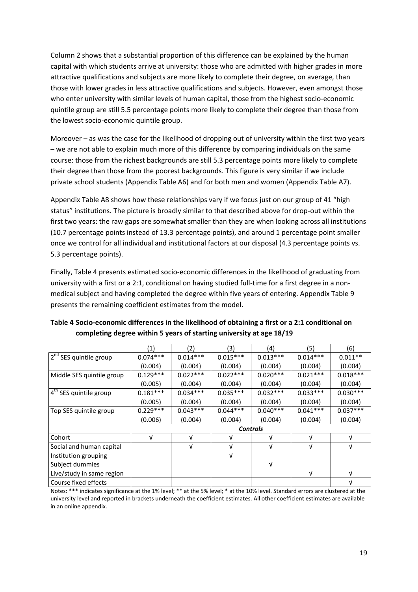Column 2 shows that a substantial proportion of this difference can be explained by the human capital with which students arrive at university: those who are admitted with higher grades in more attractive qualifications and subjects are more likely to complete their degree, on average, than those with lower grades in less attractive qualifications and subjects. However, even amongst those who enter university with similar levels of human capital, those from the highest socio-economic quintile group are still 5.5 percentage points more likely to complete their degree than those from the lowest socio-economic quintile group.

Moreover – as was the case for the likelihood of dropping out of university within the first two years – we are not able to explain much more of this difference by comparing individuals on the same course: those from the richest backgrounds are still 5.3 percentage points more likely to complete their degree than those from the poorest backgrounds. This figure is very similar if we include private school students (Appendix Table A6) and for both men and women (Appendix Table A7).

Appendix Table A8 shows how these relationships vary if we focus just on our group of 41 "high status" institutions. The picture is broadly similar to that described above for drop-out within the first two years: the raw gaps are somewhat smaller than they are when looking across all institutions (10.7 percentage points instead of 13.3 percentage points), and around 1 percentage point smaller once we control for all individual and institutional factors at our disposal (4.3 percentage points vs. 5.3 percentage points).

Finally, Table 4 presents estimated socio-economic differences in the likelihood of graduating from university with a first or a 2:1, conditional on having studied full-time for a first degree in a nonmedical subject and having completed the degree within five years of entering. Appendix Table 9 presents the remaining coefficient estimates from the model.

|                                    | (1)             | (2)        | (3)        | (4)        | (5)        | (6)        |  |  |
|------------------------------------|-----------------|------------|------------|------------|------------|------------|--|--|
| 2 <sup>nd</sup> SES quintile group | $0.074***$      | $0.014***$ | $0.015***$ | $0.013***$ | $0.014***$ | $0.011**$  |  |  |
|                                    | (0.004)         | (0.004)    | (0.004)    | (0.004)    | (0.004)    | (0.004)    |  |  |
| Middle SES quintile group          | $0.129***$      | $0.022***$ | $0.022***$ | $0.020***$ | $0.021***$ | $0.018***$ |  |  |
|                                    | (0.005)         | (0.004)    | (0.004)    | (0.004)    | (0.004)    | (0.004)    |  |  |
| 4 <sup>th</sup> SES quintile group | $0.181***$      | $0.034***$ | $0.035***$ | $0.032***$ | $0.033***$ | $0.030***$ |  |  |
|                                    | (0.005)         | (0.004)    | (0.004)    | (0.004)    | (0.004)    | (0.004)    |  |  |
| Top SES quintile group             | $0.229***$      | $0.043***$ | $0.044***$ | $0.040***$ | $0.041***$ | $0.037***$ |  |  |
|                                    | (0.006)         | (0.004)    | (0.004)    | (0.004)    | (0.004)    | (0.004)    |  |  |
|                                    | <b>Controls</b> |            |            |            |            |            |  |  |
| Cohort                             | V               | v          | v          | V          | v          | v          |  |  |
| Social and human capital           |                 | $\sqrt{ }$ | V          | $\sqrt{ }$ | $\sqrt{ }$ | $\sqrt{ }$ |  |  |
| Institution grouping               |                 |            | V          |            |            |            |  |  |
| Subject dummies                    |                 |            |            | V          |            |            |  |  |
| Live/study in same region          |                 |            |            |            | V          | v          |  |  |
| Course fixed effects               |                 |            |            |            |            | $\sqrt{ }$ |  |  |

| Table 4 Socio-economic differences in the likelihood of obtaining a first or a 2:1 conditional on |
|---------------------------------------------------------------------------------------------------|
| completing degree within 5 years of starting university at age 18/19                              |

Notes: \*\*\* indicates significance at the 1% level; \*\* at the 5% level; \* at the 10% level. Standard errors are clustered at the university level and reported in brackets underneath the coefficient estimates. All other coefficient estimates are available in an online appendix.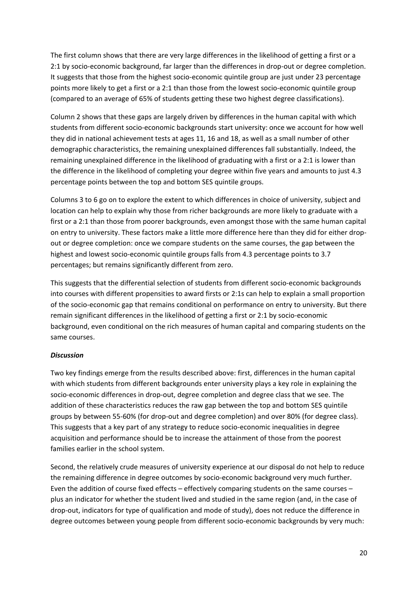The first column shows that there are very large differences in the likelihood of getting a first or a 2:1 by socio-economic background, far larger than the differences in drop-out or degree completion. It suggests that those from the highest socio-economic quintile group are just under 23 percentage points more likely to get a first or a 2:1 than those from the lowest socio-economic quintile group (compared to an average of 65% of students getting these two highest degree classifications).

Column 2 shows that these gaps are largely driven by differences in the human capital with which students from different socio-economic backgrounds start university: once we account for how well they did in national achievement tests at ages 11, 16 and 18, as well as a small number of other demographic characteristics, the remaining unexplained differences fall substantially. Indeed, the remaining unexplained difference in the likelihood of graduating with a first or a 2:1 is lower than the difference in the likelihood of completing your degree within five years and amounts to just 4.3 percentage points between the top and bottom SES quintile groups.

Columns 3 to 6 go on to explore the extent to which differences in choice of university, subject and location can help to explain why those from richer backgrounds are more likely to graduate with a first or a 2:1 than those from poorer backgrounds, even amongst those with the same human capital on entry to university. These factors make a little more difference here than they did for either dropout or degree completion: once we compare students on the same courses, the gap between the highest and lowest socio-economic quintile groups falls from 4.3 percentage points to 3.7 percentages; but remains significantly different from zero.

This suggests that the differential selection of students from different socio-economic backgrounds into courses with different propensities to award firsts or 2:1s can help to explain a small proportion of the socio-economic gap that remains conditional on performance on entry to university. But there remain significant differences in the likelihood of getting a first or 2:1 by socio-economic background, even conditional on the rich measures of human capital and comparing students on the same courses.

#### *Discussion*

Two key findings emerge from the results described above: first, differences in the human capital with which students from different backgrounds enter university plays a key role in explaining the socio-economic differences in drop-out, degree completion and degree class that we see. The addition of these characteristics reduces the raw gap between the top and bottom SES quintile groups by between 55-60% (for drop-out and degree completion) and over 80% (for degree class). This suggests that a key part of any strategy to reduce socio-economic inequalities in degree acquisition and performance should be to increase the attainment of those from the poorest families earlier in the school system.

Second, the relatively crude measures of university experience at our disposal do not help to reduce the remaining difference in degree outcomes by socio-economic background very much further. Even the addition of course fixed effects – effectively comparing students on the same courses – plus an indicator for whether the student lived and studied in the same region (and, in the case of drop-out, indicators for type of qualification and mode of study), does not reduce the difference in degree outcomes between young people from different socio-economic backgrounds by very much: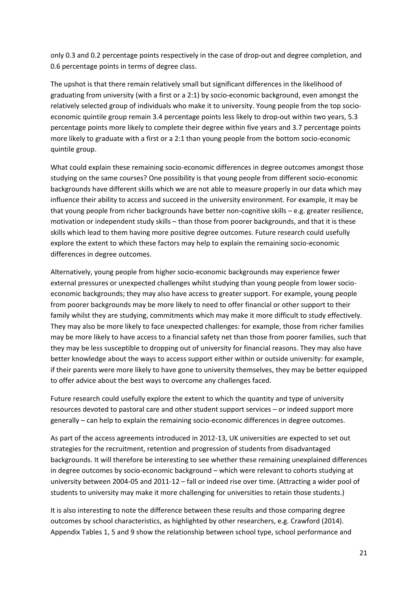only 0.3 and 0.2 percentage points respectively in the case of drop-out and degree completion, and 0.6 percentage points in terms of degree class.

The upshot is that there remain relatively small but significant differences in the likelihood of graduating from university (with a first or a 2:1) by socio-economic background, even amongst the relatively selected group of individuals who make it to university. Young people from the top socioeconomic quintile group remain 3.4 percentage points less likely to drop-out within two years, 5.3 percentage points more likely to complete their degree within five years and 3.7 percentage points more likely to graduate with a first or a 2:1 than young people from the bottom socio-economic quintile group.

What could explain these remaining socio-economic differences in degree outcomes amongst those studying on the same courses? One possibility is that young people from different socio-economic backgrounds have different skills which we are not able to measure properly in our data which may influence their ability to access and succeed in the university environment. For example, it may be that young people from richer backgrounds have better non-cognitive skills – e.g. greater resilience, motivation or independent study skills – than those from poorer backgrounds, and that it is these skills which lead to them having more positive degree outcomes. Future research could usefully explore the extent to which these factors may help to explain the remaining socio-economic differences in degree outcomes.

Alternatively, young people from higher socio-economic backgrounds may experience fewer external pressures or unexpected challenges whilst studying than young people from lower socioeconomic backgrounds; they may also have access to greater support. For example, young people from poorer backgrounds may be more likely to need to offer financial or other support to their family whilst they are studying, commitments which may make it more difficult to study effectively. They may also be more likely to face unexpected challenges: for example, those from richer families may be more likely to have access to a financial safety net than those from poorer families, such that they may be less susceptible to dropping out of university for financial reasons. They may also have better knowledge about the ways to access support either within or outside university: for example, if their parents were more likely to have gone to university themselves, they may be better equipped to offer advice about the best ways to overcome any challenges faced.

Future research could usefully explore the extent to which the quantity and type of university resources devoted to pastoral care and other student support services – or indeed support more generally – can help to explain the remaining socio-economic differences in degree outcomes.

As part of the access agreements introduced in 2012-13, UK universities are expected to set out strategies for the recruitment, retention and progression of students from disadvantaged backgrounds. It will therefore be interesting to see whether these remaining unexplained differences in degree outcomes by socio-economic background – which were relevant to cohorts studying at university between 2004-05 and 2011-12 – fall or indeed rise over time. (Attracting a wider pool of students to university may make it more challenging for universities to retain those students.)

It is also interesting to note the difference between these results and those comparing degree outcomes by school characteristics, as highlighted by other researchers, e.g. Crawford (2014). Appendix Tables 1, 5 and 9 show the relationship between school type, school performance and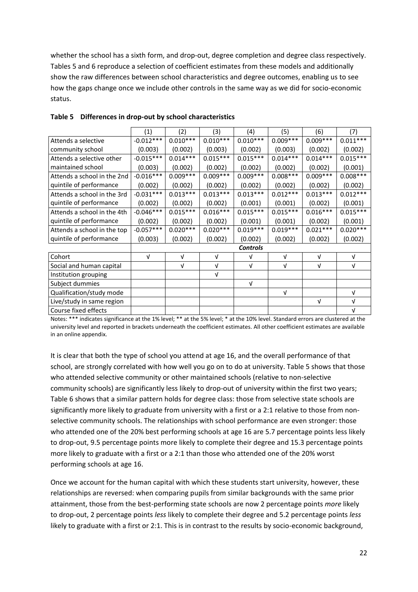whether the school has a sixth form, and drop-out, degree completion and degree class respectively. Tables 5 and 6 reproduce a selection of coefficient estimates from these models and additionally show the raw differences between school characteristics and degree outcomes, enabling us to see how the gaps change once we include other controls in the same way as we did for socio-economic status.

|                             | (1)         | (2)        | (3)        | (4)             | (5)        | (6)        | (7)        |
|-----------------------------|-------------|------------|------------|-----------------|------------|------------|------------|
| Attends a selective         | $-0.012***$ | $0.010***$ | $0.010***$ | $0.010***$      | $0.009***$ | $0.009***$ | $0.011***$ |
| community school            | (0.003)     | (0.002)    | (0.003)    | (0.002)         | (0.003)    | (0.002)    | (0.002)    |
| Attends a selective other   | $-0.015***$ | $0.014***$ | $0.015***$ | $0.015***$      | $0.014***$ | $0.014***$ | $0.015***$ |
| maintained school           | (0.003)     | (0.002)    | (0.002)    | (0.002)         | (0.002)    | (0.002)    | (0.001)    |
| Attends a school in the 2nd | $-0.016***$ | $0.009***$ | $0.009***$ | $0.009***$      | $0.008***$ | $0.009***$ | $0.008***$ |
| quintile of performance     | (0.002)     | (0.002)    | (0.002)    | (0.002)         | (0.002)    | (0.002)    | (0.002)    |
| Attends a school in the 3rd | $-0.031***$ | $0.013***$ | $0.013***$ | $0.013***$      | $0.012***$ | $0.013***$ | $0.012***$ |
| quintile of performance     | (0.002)     | (0.002)    | (0.002)    | (0.001)         | (0.001)    | (0.002)    | (0.001)    |
| Attends a school in the 4th | $-0.046***$ | $0.015***$ | $0.016***$ | $0.015***$      | $0.015***$ | $0.016***$ | $0.015***$ |
| quintile of performance     | (0.002)     | (0.002)    | (0.002)    | (0.001)         | (0.001)    | (0.002)    | (0.001)    |
| Attends a school in the top | $-0.057***$ | $0.020***$ | $0.020***$ | $0.019***$      | $0.019***$ | $0.021***$ | $0.020***$ |
| quintile of performance     | (0.003)     | (0.002)    | (0.002)    | (0.002)         | (0.002)    | (0.002)    | (0.002)    |
|                             |             |            |            | <b>Controls</b> |            |            |            |
| Cohort                      | V           | V          | V          | $\sqrt{ }$      | V          | $\sqrt{ }$ | V          |
| Social and human capital    |             | V          | $\sqrt{ }$ | $\sqrt{ }$      | $\sqrt{ }$ | $\sqrt{ }$ | V          |
| Institution grouping        |             |            | $\sqrt{ }$ |                 |            |            |            |
| Subject dummies             |             |            |            | V               |            |            |            |
| Qualification/study mode    |             |            |            |                 | $\sqrt{ }$ |            | $\sqrt{ }$ |
| Live/study in same region   |             |            |            |                 |            | $\sqrt{ }$ | $\sqrt{ }$ |
| Course fixed effects        |             |            |            |                 |            |            | $\sqrt{ }$ |

#### **Table 5 Differences in drop-out by school characteristics**

Notes: \*\*\* indicates significance at the 1% level; \*\* at the 5% level; \* at the 10% level. Standard errors are clustered at the university level and reported in brackets underneath the coefficient estimates. All other coefficient estimates are available in an online appendix.

It is clear that both the type of school you attend at age 16, and the overall performance of that school, are strongly correlated with how well you go on to do at university. Table 5 shows that those who attended selective community or other maintained schools (relative to non-selective community schools) are significantly less likely to drop-out of university within the first two years; Table 6 shows that a similar pattern holds for degree class: those from selective state schools are significantly more likely to graduate from university with a first or a 2:1 relative to those from nonselective community schools. The relationships with school performance are even stronger: those who attended one of the 20% best performing schools at age 16 are 5.7 percentage points less likely to drop-out, 9.5 percentage points more likely to complete their degree and 15.3 percentage points more likely to graduate with a first or a 2:1 than those who attended one of the 20% worst performing schools at age 16.

Once we account for the human capital with which these students start university, however, these relationships are reversed: when comparing pupils from similar backgrounds with the same prior attainment, those from the best-performing state schools are now 2 percentage points *more* likely to drop-out, 2 percentage points *less* likely to complete their degree and 5.2 percentage points *less* likely to graduate with a first or 2:1. This is in contrast to the results by socio-economic background,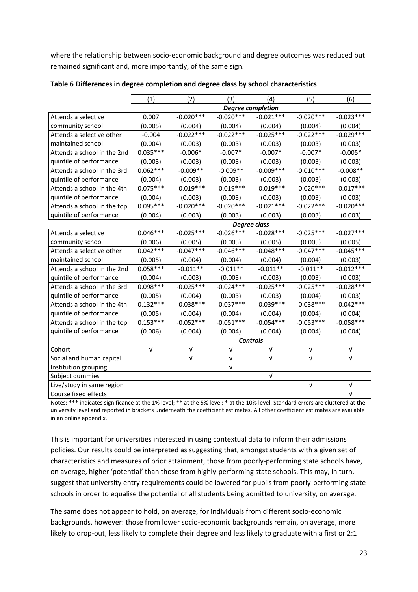where the relationship between socio-economic background and degree outcomes was reduced but remained significant and, more importantly, of the same sign.

|                             | (1)                      | (2)         | (3)             | (4)         | (5)         | (6)         |  |
|-----------------------------|--------------------------|-------------|-----------------|-------------|-------------|-------------|--|
|                             | <b>Degree completion</b> |             |                 |             |             |             |  |
| Attends a selective         | 0.007                    | $-0.020***$ | $-0.020***$     | $-0.021***$ | $-0.020***$ | $-0.023***$ |  |
| community school            | (0.005)                  | (0.004)     | (0.004)         | (0.004)     | (0.004)     | (0.004)     |  |
| Attends a selective other   | $-0.004$                 | $-0.022***$ | $-0.022***$     | $-0.025***$ | $-0.022***$ | $-0.029***$ |  |
| maintained school           | (0.004)                  | (0.003)     | (0.003)         | (0.003)     | (0.003)     | (0.003)     |  |
| Attends a school in the 2nd | $0.035***$               | $-0.006*$   | $-0.007*$       | $-0.007*$   | $-0.007*$   | $-0.005*$   |  |
| quintile of performance     | (0.003)                  | (0.003)     | (0.003)         | (0.003)     | (0.003)     | (0.003)     |  |
| Attends a school in the 3rd | $0.062***$               | $-0.009**$  | $-0.009**$      | $-0.009***$ | $-0.010***$ | $-0.008**$  |  |
| quintile of performance     | (0.004)                  | (0.003)     | (0.003)         | (0.003)     | (0.003)     | (0.003)     |  |
| Attends a school in the 4th | $0.075***$               | $-0.019***$ | $-0.019***$     | $-0.019***$ | $-0.020***$ | $-0.017***$ |  |
| quintile of performance     | (0.004)                  | (0.003)     | (0.003)         | (0.003)     | (0.003)     | (0.003)     |  |
| Attends a school in the top | $0.095***$               | $-0.020***$ | $-0.020***$     | $-0.021***$ | $-0.022***$ | $-0.020***$ |  |
| quintile of performance     | (0.004)                  | (0.003)     | (0.003)         | (0.003)     | (0.003)     | (0.003)     |  |
|                             | <b>Degree class</b>      |             |                 |             |             |             |  |
| Attends a selective         | $0.046***$               | $-0.025***$ | $-0.026***$     | $-0.028***$ | $-0.025***$ | $-0.027***$ |  |
| community school            | (0.006)                  | (0.005)     | (0.005)         | (0.005)     | (0.005)     | (0.005)     |  |
| Attends a selective other   | $0.042***$               | $-0.047***$ | $-0.046***$     | $-0.048***$ | $-0.047***$ | $-0.045***$ |  |
| maintained school           | (0.005)                  | (0.004)     | (0.004)         | (0.004)     | (0.004)     | (0.003)     |  |
| Attends a school in the 2nd | $0.058***$               | $-0.011**$  | $-0.011**$      | $-0.011**$  | $-0.011**$  | $-0.012***$ |  |
| quintile of performance     | (0.004)                  | (0.003)     | (0.003)         | (0.003)     | (0.003)     | (0.003)     |  |
| Attends a school in the 3rd | $0.098***$               | $-0.025***$ | $-0.024***$     | $-0.025***$ | $-0.025***$ | $-0.028***$ |  |
| quintile of performance     | (0.005)                  | (0.004)     | (0.003)         | (0.003)     | (0.004)     | (0.003)     |  |
| Attends a school in the 4th | $0.132***$               | $-0.038***$ | $-0.037***$     | $-0.039***$ | $-0.038***$ | $-0.042***$ |  |
| quintile of performance     | (0.005)                  | (0.004)     | (0.004)         | (0.004)     | (0.004)     | (0.004)     |  |
| Attends a school in the top | $0.153***$               | $-0.052***$ | $-0.051***$     | $-0.054***$ | $-0.053***$ | $-0.058***$ |  |
| quintile of performance     | (0.006)                  | (0.004)     | (0.004)         | (0.004)     | (0.004)     | (0.004)     |  |
|                             |                          |             | <b>Controls</b> |             |             |             |  |
| Cohort                      | V                        | V           | V               | V           | $\sqrt{ }$  | ν           |  |
| Social and human capital    |                          | $\sqrt{ }$  | V               | $\sqrt{ }$  | $\sqrt{ }$  | $\sqrt{ }$  |  |
| Institution grouping        |                          |             | Λ               |             |             |             |  |
| Subject dummies             |                          |             |                 | $\sqrt{ }$  |             |             |  |
| Live/study in same region   |                          |             |                 |             | $\sqrt{ }$  | V           |  |
| Course fixed effects        |                          |             |                 |             |             | $\sqrt{ }$  |  |

**Table 6 Differences in degree completion and degree class by school characteristics**

Notes: \*\*\* indicates significance at the 1% level; \*\* at the 5% level; \* at the 10% level. Standard errors are clustered at the university level and reported in brackets underneath the coefficient estimates. All other coefficient estimates are available in an online appendix.

This is important for universities interested in using contextual data to inform their admissions policies. Our results could be interpreted as suggesting that, amongst students with a given set of characteristics and measures of prior attainment, those from poorly-performing state schools have, on average, higher 'potential' than those from highly-performing state schools. This may, in turn, suggest that university entry requirements could be lowered for pupils from poorly-performing state schools in order to equalise the potential of all students being admitted to university, on average.

The same does not appear to hold, on average, for individuals from different socio-economic backgrounds, however: those from lower socio-economic backgrounds remain, on average, more likely to drop-out, less likely to complete their degree and less likely to graduate with a first or 2:1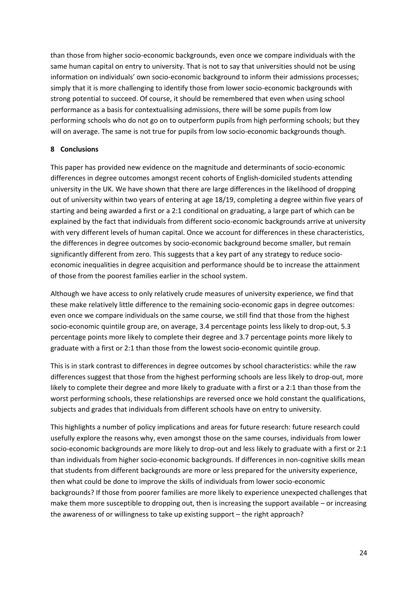than those from higher socio-economic backgrounds, even once we compare individuals with the same human capital on entry to university. That is not to say that universities should not be using information on individuals' own socio-economic background to inform their admissions processes; simply that it is more challenging to identify those from lower socio-economic backgrounds with strong potential to succeed. Of course, it should be remembered that even when using school performance as a basis for contextualising admissions, there will be some pupils from low performing schools who do not go on to outperform pupils from high performing schools; but they will on average. The same is not true for pupils from low socio-economic backgrounds though.

# **8 Conclusions**

This paper has provided new evidence on the magnitude and determinants of socio-economic differences in degree outcomes amongst recent cohorts of English-domiciled students attending university in the UK. We have shown that there are large differences in the likelihood of dropping out of university within two years of entering at age 18/19, completing a degree within five years of starting and being awarded a first or a 2:1 conditional on graduating, a large part of which can be explained by the fact that individuals from different socio-economic backgrounds arrive at university with very different levels of human capital. Once we account for differences in these characteristics, the differences in degree outcomes by socio-economic background become smaller, but remain significantly different from zero. This suggests that a key part of any strategy to reduce socioeconomic inequalities in degree acquisition and performance should be to increase the attainment of those from the poorest families earlier in the school system.

Although we have access to only relatively crude measures of university experience, we find that these make relatively little difference to the remaining socio-economic gaps in degree outcomes: even once we compare individuals on the same course, we still find that those from the highest socio-economic quintile group are, on average, 3.4 percentage points less likely to drop-out, 5.3 percentage points more likely to complete their degree and 3.7 percentage points more likely to graduate with a first or 2:1 than those from the lowest socio-economic quintile group.

This is in stark contrast to differences in degree outcomes by school characteristics: while the raw differences suggest that those from the highest performing schools are less likely to drop-out, more likely to complete their degree and more likely to graduate with a first or a 2:1 than those from the worst performing schools, these relationships are reversed once we hold constant the qualifications, subjects and grades that individuals from different schools have on entry to university.

This highlights a number of policy implications and areas for future research: future research could usefully explore the reasons why, even amongst those on the same courses, individuals from lower socio-economic backgrounds are more likely to drop-out and less likely to graduate with a first or 2:1 than individuals from higher socio-economic backgrounds. If differences in non-cognitive skills mean that students from different backgrounds are more or less prepared for the university experience, then what could be done to improve the skills of individuals from lower socio-economic backgrounds? If those from poorer families are more likely to experience unexpected challenges that make them more susceptible to dropping out, then is increasing the support available – or increasing the awareness of or willingness to take up existing support – the right approach?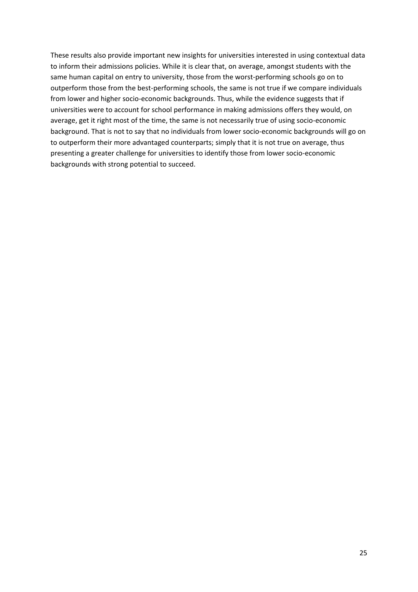These results also provide important new insights for universities interested in using contextual data to inform their admissions policies. While it is clear that, on average, amongst students with the same human capital on entry to university, those from the worst-performing schools go on to outperform those from the best-performing schools, the same is not true if we compare individuals from lower and higher socio-economic backgrounds. Thus, while the evidence suggests that if universities were to account for school performance in making admissions offers they would, on average, get it right most of the time, the same is not necessarily true of using socio-economic background. That is not to say that no individuals from lower socio-economic backgrounds will go on to outperform their more advantaged counterparts; simply that it is not true on average, thus presenting a greater challenge for universities to identify those from lower socio-economic backgrounds with strong potential to succeed.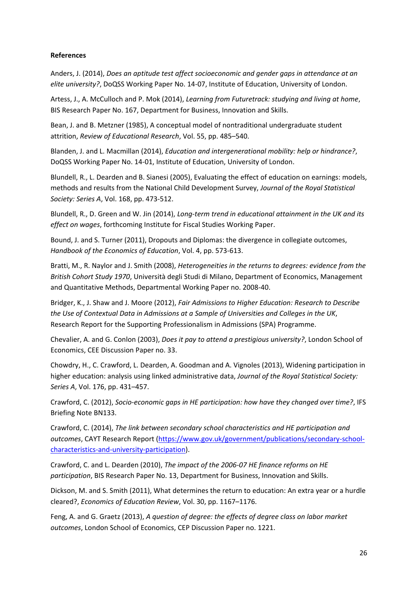#### **References**

Anders, J. (2014), *Does an aptitude test affect socioeconomic and gender gaps in attendance at an elite university?*, DoQSS Working Paper No. 14-07, Institute of Education, University of London.

Artess, J., A. McCulloch and P. Mok (2014), *Learning from Futuretrack: studying and living at home*, BIS Research Paper No. 167, Department for Business, Innovation and Skills.

Bean, J. and B. Metzner (1985), A conceptual model of nontraditional undergraduate student attrition, *Review of Educational Research*, Vol. 55, pp. 485–540.

Blanden, J. and L. Macmillan (2014), *Education and intergenerational mobility: help or hindrance?*, DoQSS Working Paper No. 14-01, Institute of Education, University of London.

Blundell, R., L. Dearden and B. Sianesi (2005), Evaluating the effect of education on earnings: models, methods and results from the National Child Development Survey, *Journal of the Royal Statistical Society: Series A*, Vol. 168, pp. 473-512.

Blundell, R., D. Green and W. Jin (2014), *Long-term trend in educational attainment in the UK and its effect on wages*, forthcoming Institute for Fiscal Studies Working Paper.

Bound, J. and S. Turner (2011), Dropouts and Diplomas: the divergence in collegiate outcomes, *Handbook of the Economics of Education*, Vol. 4, pp. 573-613.

Bratti, M., R. Naylor and J. Smith (2008), *[Heterogeneities in the returns to degrees: evidence from the](http://ideas.repec.org/p/mil/wpdepa/2008-40.html)  [British Cohort Study 1970](http://ideas.repec.org/p/mil/wpdepa/2008-40.html)*, Università degli Studi di Milano, Department of Economics, Management and Quantitative Methods, [Departmental Working Paper](http://ideas.repec.org/s/mil/wpdepa.html) no. 2008-40.

Bridger, K., J. Shaw and J. Moore (2012), *Fair Admissions to Higher Education: Research to Describe the Use of Contextual Data in Admissions at a Sample of Universities and Colleges in the UK*, Research Report for the Supporting Professionalism in Admissions (SPA) Programme.

Chevalier, A. and G. Conlon (2003), *Does it pay to attend a prestigious university?*, London School of Economics, CEE Discussion Paper no. 33.

Chowdry, H., C. Crawford, L. Dearden, A. Goodman and A. Vignoles (2013), Widening participation in higher education: analysis using linked administrative data, *Journal of the Royal Statistical Society: Series A*, Vol. 176, pp. 431–457.

Crawford, C. (2012), *Socio-economic gaps in HE participation: how have they changed over time?*, IFS Briefing Note BN133.

Crawford, C. (2014), *The link between secondary school characteristics and HE participation and outcomes*, CAYT Research Report [\(https://www.gov.uk/government/publications/secondary-school](https://www.gov.uk/government/publications/secondary-school-characteristics-and-university-participation)[characteristics-and-university-participation\)](https://www.gov.uk/government/publications/secondary-school-characteristics-and-university-participation).

Crawford, C. and L. Dearden (2010), *The impact of the 2006-07 HE finance reforms on HE participation*, BIS Research Paper No. 13, Department for Business, Innovation and Skills.

Dickson, M. and S. Smith (2011), What determines the return to education: An extra year or a hurdle cleared?, *Economics of Education Review*, Vol. 30, pp. 1167–1176.

Feng, A. and G. Graetz (2013), *A question of degree: the effects of degree class on labor market outcomes*, London School of Economics, CEP Discussion Paper no. 1221.